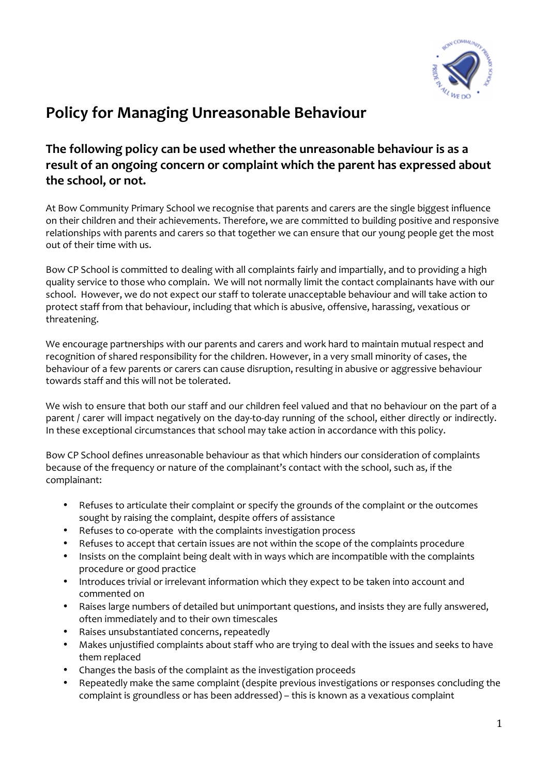

## **Policy for Managing Unreasonable Behaviour**

## **The following policy can be used whether the unreasonable behaviour is as a result of an ongoing concern or complaint which the parent has expressed about the school, or not.**

At Bow Community Primary School we recognise that parents and carers are the single biggest influence on their children and their achievements. Therefore, we are committed to building positive and responsive relationships with parents and carers so that together we can ensure that our young people get the most out of their time with us.

Bow CP School is committed to dealing with all complaints fairly and impartially, and to providing a high quality service to those who complain. We will not normally limit the contact complainants have with our school. However, we do not expect our staff to tolerate unacceptable behaviour and will take action to protect staff from that behaviour, including that which is abusive, offensive, harassing, vexatious or threatening.

We encourage partnerships with our parents and carers and work hard to maintain mutual respect and recognition of shared responsibility for the children. However, in a very small minority of cases, the behaviour of a few parents or carers can cause disruption, resulting in abusive or aggressive behaviour towards staff and this will not be tolerated.

We wish to ensure that both our staff and our children feel valued and that no behaviour on the part of a parent / carer will impact negatively on the day-to-day running of the school, either directly or indirectly. In these exceptional circumstances that school may take action in accordance with this policy.

Bow CP School defines unreasonable behaviour as that which hinders our consideration of complaints because of the frequency or nature of the complainant's contact with the school, such as, if the complainant:

- Refuses to articulate their complaint or specify the grounds of the complaint or the outcomes sought by raising the complaint, despite offers of assistance
- Refuses to co-operate with the complaints investigation process
- Refuses to accept that certain issues are not within the scope of the complaints procedure
- Insists on the complaint being dealt with in ways which are incompatible with the complaints procedure or good practice
- Introduces trivial or irrelevant information which they expect to be taken into account and commented on
- Raises large numbers of detailed but unimportant questions, and insists they are fully answered, often immediately and to their own timescales
- Raises unsubstantiated concerns, repeatedly
- Makes unjustified complaints about staff who are trying to deal with the issues and seeks to have them replaced
- Changes the basis of the complaint as the investigation proceeds
- Repeatedly make the same complaint (despite previous investigations or responses concluding the complaint is groundless or has been addressed) – this is known as a vexatious complaint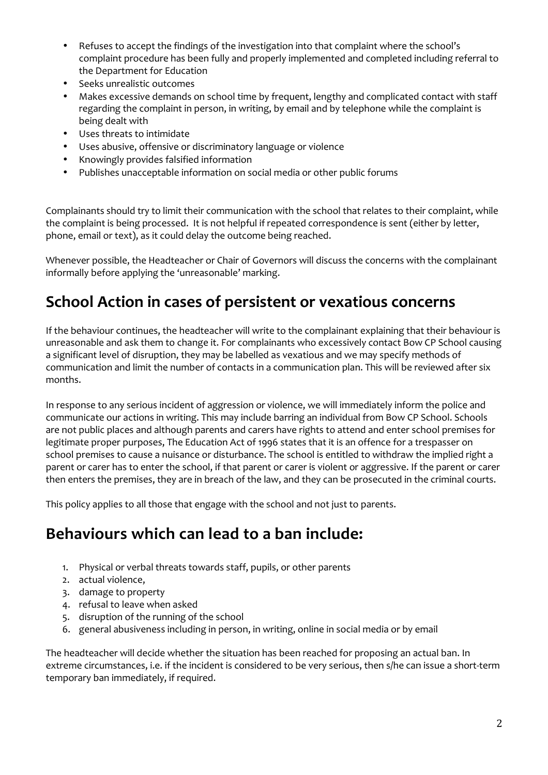- Refuses to accept the findings of the investigation into that complaint where the school's complaint procedure has been fully and properly implemented and completed including referral to the Department for Education
- Seeks unrealistic outcomes
- Makes excessive demands on school time by frequent, lengthy and complicated contact with staff regarding the complaint in person, in writing, by email and by telephone while the complaint is being dealt with
- Uses threats to intimidate
- Uses abusive, offensive or discriminatory language or violence
- Knowingly provides falsified information
- Publishes unacceptable information on social media or other public forums

Complainants should try to limit their communication with the school that relates to their complaint, while the complaint is being processed. It is not helpful if repeated correspondence is sent (either by letter, phone, email or text), as it could delay the outcome being reached.

Whenever possible, the Headteacher or Chair of Governors will discuss the concerns with the complainant informally before applying the 'unreasonable' marking.

## **School Action in cases of persistent or vexatious concerns**

If the behaviour continues, the headteacher will write to the complainant explaining that their behaviour is unreasonable and ask them to change it. For complainants who excessively contact Bow CP School causing a significant level of disruption, they may be labelled as vexatious and we may specify methods of communication and limit the number of contacts in a communication plan. This will be reviewed after six months.

In response to any serious incident of aggression or violence, we will immediately inform the police and communicate our actions in writing. This may include barring an individual from Bow CP School. Schools are not public places and although parents and carers have rights to attend and enter school premises for legitimate proper purposes, The Education Act of 1996 states that it is an offence for a trespasser on school premises to cause a nuisance or disturbance. The school is entitled to withdraw the implied right a parent or carer has to enter the school, if that parent or carer is violent or aggressive. If the parent or carer then enters the premises, they are in breach of the law, and they can be prosecuted in the criminal courts.

This policy applies to all those that engage with the school and not just to parents.

## **Behaviours which can lead to a ban include:**

- 1. Physical or verbal threats towards staff, pupils, or other parents
- 2. actual violence,
- 3. damage to property
- 4. refusal to leave when asked
- 5. disruption of the running of the school
- 6. general abusiveness including in person, in writing, online in social media or by email

The headteacher will decide whether the situation has been reached for proposing an actual ban. In extreme circumstances, i.e. if the incident is considered to be very serious, then s/he can issue a short-term temporary ban immediately, if required.